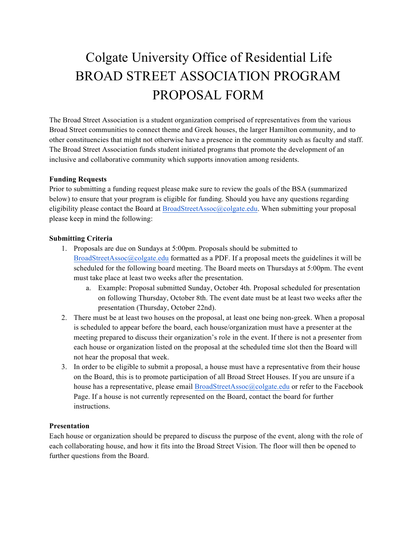# Colgate University Office of Residential Life BROAD STREET ASSOCIATION PROGRAM PROPOSAL FORM

The Broad Street Association is a student organization comprised of representatives from the various Broad Street communities to connect theme and Greek houses, the larger Hamilton community, and to other constituencies that might not otherwise have a presence in the community such as faculty and staff. The Broad Street Association funds student initiated programs that promote the development of an inclusive and collaborative community which supports innovation among residents.

#### **Funding Requests**

Prior to submitting a funding request please make sure to review the goals of the BSA (summarized below) to ensure that your program is eligible for funding. Should you have any questions regarding eligibility please contact the Board at BroadStreetAssoc@colgate.edu. When submitting your proposal please keep in mind the following:

#### **Submitting Criteria**

- 1. Proposals are due on Sundays at 5:00pm. Proposals should be submitted to BroadStreetAssoc@colgate.edu formatted as a PDF. If a proposal meets the guidelines it will be scheduled for the following board meeting. The Board meets on Thursdays at 5:00pm. The event must take place at least two weeks after the presentation.
	- a. Example: Proposal submitted Sunday, October 4th. Proposal scheduled for presentation on following Thursday, October 8th. The event date must be at least two weeks after the presentation (Thursday, October 22nd).
- 2. There must be at least two houses on the proposal, at least one being non-greek. When a proposal is scheduled to appear before the board, each house/organization must have a presenter at the meeting prepared to discuss their organization's role in the event. If there is not a presenter from each house or organization listed on the proposal at the scheduled time slot then the Board will not hear the proposal that week.
- 3. In order to be eligible to submit a proposal, a house must have a representative from their house on the Board, this is to promote participation of all Broad Street Houses. If you are unsure if a house has a representative, please email BroadStreetAssoc@colgate.edu or refer to the Facebook Page. If a house is not currently represented on the Board, contact the board for further instructions.

#### **Presentation**

Each house or organization should be prepared to discuss the purpose of the event, along with the role of each collaborating house, and how it fits into the Broad Street Vision. The floor will then be opened to further questions from the Board.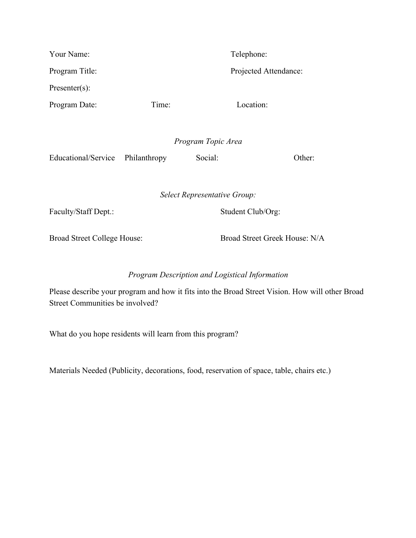| Your Name:                  |                              |                   | Telephone:                    |  |
|-----------------------------|------------------------------|-------------------|-------------------------------|--|
| Program Title:              |                              |                   | Projected Attendance:         |  |
| $Presenter(s)$ :            |                              |                   |                               |  |
| Time:<br>Program Date:      |                              |                   | Location:                     |  |
|                             |                              |                   |                               |  |
|                             | Program Topic Area           |                   |                               |  |
| Educational/Service         | Philanthropy                 | Social:           | Other:                        |  |
|                             |                              |                   |                               |  |
|                             | Select Representative Group: |                   |                               |  |
| Faculty/Staff Dept.:        |                              | Student Club/Org: |                               |  |
|                             |                              |                   |                               |  |
| Broad Street College House: |                              |                   | Broad Street Greek House: N/A |  |

## *Program Description and Logistical Information*

Please describe your program and how it fits into the Broad Street Vision. How will other Broad Street Communities be involved?

What do you hope residents will learn from this program?

Materials Needed (Publicity, decorations, food, reservation of space, table, chairs etc.)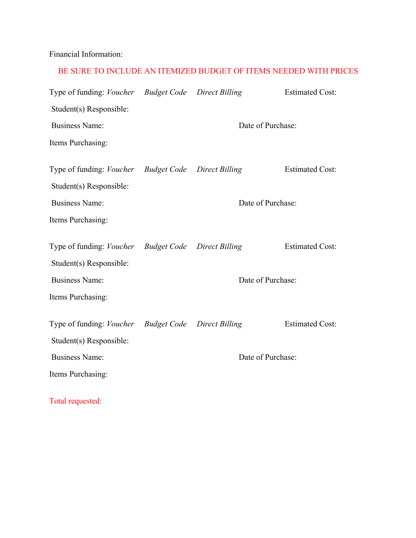Financial Information:

### BE SURE TO INCLUDE AN ITEMIZED BUDGET OF ITEMS NEEDED WITH PRICES

| Type of funding: Voucher Budget Code Direct Billing |                   |                                   | <b>Estimated Cost:</b> |  |
|-----------------------------------------------------|-------------------|-----------------------------------|------------------------|--|
| Student(s) Responsible:                             |                   |                                   |                        |  |
| <b>Business Name:</b>                               | Date of Purchase: |                                   |                        |  |
| Items Purchasing:                                   |                   |                                   |                        |  |
| Type of funding: Voucher Budget Code Direct Billing |                   |                                   | <b>Estimated Cost:</b> |  |
| Student(s) Responsible:                             |                   |                                   |                        |  |
|                                                     |                   |                                   |                        |  |
| <b>Business Name:</b>                               | Date of Purchase: |                                   |                        |  |
| Items Purchasing:                                   |                   |                                   |                        |  |
| Type of funding: <i>Voucher</i>                     |                   | <b>Budget Code</b> Direct Billing | <b>Estimated Cost:</b> |  |
| Student(s) Responsible:                             |                   |                                   |                        |  |
| <b>Business Name:</b>                               |                   | Date of Purchase:                 |                        |  |
| Items Purchasing:                                   |                   |                                   |                        |  |
| Type of funding: <i>Voucher</i>                     |                   | <b>Budget Code</b> Direct Billing | <b>Estimated Cost:</b> |  |
| Student(s) Responsible:                             |                   |                                   |                        |  |
| <b>Business Name:</b>                               |                   | Date of Purchase:                 |                        |  |
| Items Purchasing:                                   |                   |                                   |                        |  |
|                                                     |                   |                                   |                        |  |

Total requested: